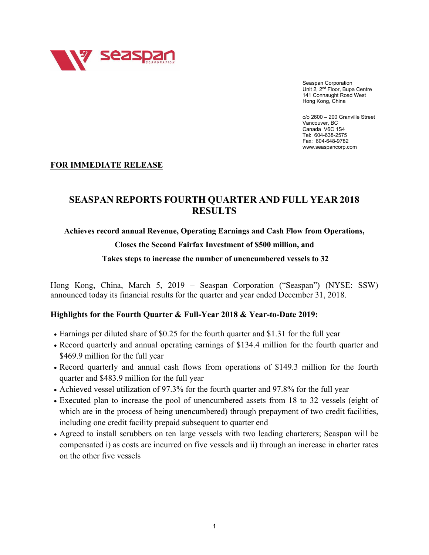

Seaspan Corporation Unit 2, 2nd Floor, Bupa Centre 141 Connaught Road West Hong Kong, China

c/o 2600 – 200 Granville Street Vancouver, BC Canada V6C 1S4 Tel: 604-638-2575 Fax: 604-648-9782 www.seaspancorp.com

# **FOR IMMEDIATE RELEASE**

# **SEASPAN REPORTS FOURTH QUARTER AND FULL YEAR 2018 RESULTS**

#### **Achieves record annual Revenue, Operating Earnings and Cash Flow from Operations,**

# **Closes the Second Fairfax Investment of \$500 million, and**

# **Takes steps to increase the number of unencumbered vessels to 32**

Hong Kong, China, March 5, 2019 – Seaspan Corporation ("Seaspan") (NYSE: SSW) announced today its financial results for the quarter and year ended December 31, 2018.

# **Highlights for the Fourth Quarter & Full-Year 2018 & Year-to-Date 2019:**

- Earnings per diluted share of \$0.25 for the fourth quarter and \$1.31 for the full year
- Record quarterly and annual operating earnings of \$134.4 million for the fourth quarter and \$469.9 million for the full year
- Record quarterly and annual cash flows from operations of \$149.3 million for the fourth quarter and \$483.9 million for the full year
- Achieved vessel utilization of 97.3% for the fourth quarter and 97.8% for the full year
- Executed plan to increase the pool of unencumbered assets from 18 to 32 vessels (eight of which are in the process of being unencumbered) through prepayment of two credit facilities, including one credit facility prepaid subsequent to quarter end
- Agreed to install scrubbers on ten large vessels with two leading charterers; Seaspan will be compensated i) as costs are incurred on five vessels and ii) through an increase in charter rates on the other five vessels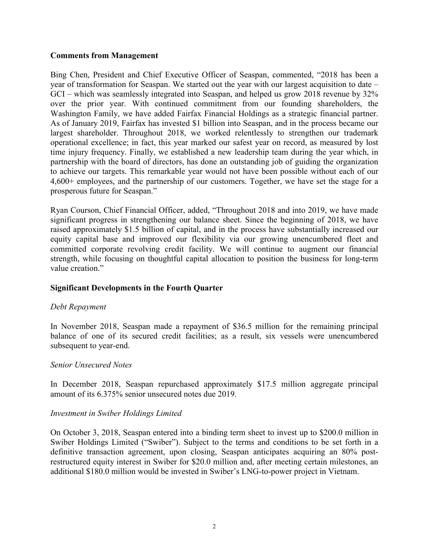# **Comments from Management**

Bing Chen, President and Chief Executive Officer of Seaspan, commented, "2018 has been a year of transformation for Seaspan. We started out the year with our largest acquisition to date – GCI – which was seamlessly integrated into Seaspan, and helped us grow 2018 revenue by 32% over the prior year. With continued commitment from our founding shareholders, the Washington Family, we have added Fairfax Financial Holdings as a strategic financial partner. As of January 2019, Fairfax has invested \$1 billion into Seaspan, and in the process became our largest shareholder. Throughout 2018, we worked relentlessly to strengthen our trademark operational excellence; in fact, this year marked our safest year on record, as measured by lost time injury frequency. Finally, we established a new leadership team during the year which, in partnership with the board of directors, has done an outstanding job of guiding the organization to achieve our targets. This remarkable year would not have been possible without each of our 4,600+ employees, and the partnership of our customers. Together, we have set the stage for a prosperous future for Seaspan."

Ryan Courson, Chief Financial Officer, added, "Throughout 2018 and into 2019, we have made significant progress in strengthening our balance sheet. Since the beginning of 2018, we have raised approximately \$1.5 billion of capital, and in the process have substantially increased our equity capital base and improved our flexibility via our growing unencumbered fleet and committed corporate revolving credit facility. We will continue to augment our financial strength, while focusing on thoughtful capital allocation to position the business for long-term value creation."

# **Significant Developments in the Fourth Quarter**

# *Debt Repayment*

In November 2018, Seaspan made a repayment of \$36.5 million for the remaining principal balance of one of its secured credit facilities; as a result, six vessels were unencumbered subsequent to year-end.

# *Senior Unsecured Notes*

In December 2018, Seaspan repurchased approximately \$17.5 million aggregate principal amount of its 6.375% senior unsecured notes due 2019.

# *Investment in Swiber Holdings Limited*

On October 3, 2018, Seaspan entered into a binding term sheet to invest up to \$200.0 million in Swiber Holdings Limited ("Swiber"). Subject to the terms and conditions to be set forth in a definitive transaction agreement, upon closing, Seaspan anticipates acquiring an 80% postrestructured equity interest in Swiber for \$20.0 million and, after meeting certain milestones, an additional \$180.0 million would be invested in Swiber's LNG-to-power project in Vietnam.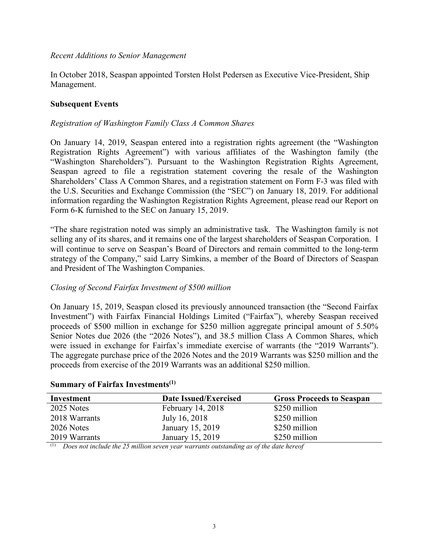# *Recent Additions to Senior Management*

In October 2018, Seaspan appointed Torsten Holst Pedersen as Executive Vice-President, Ship Management.

# **Subsequent Events**

# *Registration of Washington Family Class A Common Shares*

On January 14, 2019, Seaspan entered into a registration rights agreement (the "Washington Registration Rights Agreement") with various affiliates of the Washington family (the "Washington Shareholders"). Pursuant to the Washington Registration Rights Agreement, Seaspan agreed to file a registration statement covering the resale of the Washington Shareholders' Class A Common Shares, and a registration statement on Form F-3 was filed with the U.S. Securities and Exchange Commission (the "SEC") on January 18, 2019. For additional information regarding the Washington Registration Rights Agreement, please read our Report on Form 6-K furnished to the SEC on January 15, 2019.

"The share registration noted was simply an administrative task. The Washington family is not selling any of its shares, and it remains one of the largest shareholders of Seaspan Corporation. I will continue to serve on Seaspan's Board of Directors and remain committed to the long-term strategy of the Company," said Larry Simkins, a member of the Board of Directors of Seaspan and President of The Washington Companies.

# *Closing of Second Fairfax Investment of \$500 million*

On January 15, 2019, Seaspan closed its previously announced transaction (the "Second Fairfax Investment") with Fairfax Financial Holdings Limited ("Fairfax"), whereby Seaspan received proceeds of \$500 million in exchange for \$250 million aggregate principal amount of 5.50% Senior Notes due 2026 (the "2026 Notes"), and 38.5 million Class A Common Shares, which were issued in exchange for Fairfax's immediate exercise of warrants (the "2019 Warrants"). The aggregate purchase price of the 2026 Notes and the 2019 Warrants was \$250 million and the proceeds from exercise of the 2019 Warrants was an additional \$250 million.

# **Summary of Fairfax Investments(1)**

| Investment    | <b>Date Issued/Exercised</b> | <b>Gross Proceeds to Seaspan</b> |
|---------------|------------------------------|----------------------------------|
| 2025 Notes    | February 14, 2018            | \$250 million                    |
| 2018 Warrants | July 16, 2018                | \$250 million                    |
| 2026 Notes    | January 15, 2019             | \$250 million                    |
| 2019 Warrants | January 15, 2019             | \$250 million                    |

(1) *Does not include the 25 million seven year warrants outstanding as of the date hereof*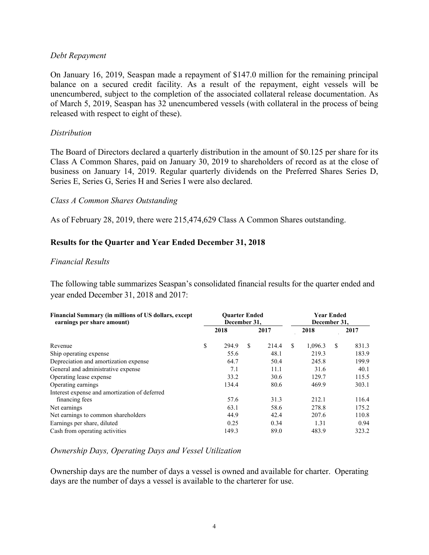# *Debt Repayment*

On January 16, 2019, Seaspan made a repayment of \$147.0 million for the remaining principal balance on a secured credit facility. As a result of the repayment, eight vessels will be unencumbered, subject to the completion of the associated collateral release documentation. As of March 5, 2019, Seaspan has 32 unencumbered vessels (with collateral in the process of being released with respect to eight of these).

# *Distribution*

The Board of Directors declared a quarterly distribution in the amount of \$0.125 per share for its Class A Common Shares, paid on January 30, 2019 to shareholders of record as at the close of business on January 14, 2019. Regular quarterly dividends on the Preferred Shares Series D, Series E, Series G, Series H and Series I were also declared.

#### *Class A Common Shares Outstanding*

As of February 28, 2019, there were 215,474,629 Class A Common Shares outstanding.

# **Results for the Quarter and Year Ended December 31, 2018**

#### *Financial Results*

The following table summarizes Seaspan's consolidated financial results for the quarter ended and year ended December 31, 2018 and 2017:

| Financial Summary (in millions of US dollars, except<br>earnings per share amount) | <b>Ouarter Ended</b><br>December 31, |    |       | <b>Year Ended</b><br>December 31, |         |               |       |  |  |
|------------------------------------------------------------------------------------|--------------------------------------|----|-------|-----------------------------------|---------|---------------|-------|--|--|
|                                                                                    | 2018                                 |    | 2017  |                                   | 2018    |               | 2017  |  |  |
| Revenue                                                                            | \$<br>294.9                          | \$ | 214.4 | \$.                               | 1,096.3 | <sup>\$</sup> | 831.3 |  |  |
| Ship operating expense                                                             | 55.6                                 |    | 48.1  |                                   | 219.3   |               | 183.9 |  |  |
| Depreciation and amortization expense                                              | 64.7                                 |    | 50.4  |                                   | 245.8   |               | 199.9 |  |  |
| General and administrative expense                                                 | 7.1                                  |    | 11.1  |                                   | 31.6    |               | 40.1  |  |  |
| Operating lease expense                                                            | 33.2                                 |    | 30.6  |                                   | 129.7   |               | 115.5 |  |  |
| Operating earnings                                                                 | 134.4                                |    | 80.6  |                                   | 469.9   |               | 303.1 |  |  |
| Interest expense and amortization of deferred                                      |                                      |    |       |                                   |         |               |       |  |  |
| financing fees                                                                     | 57.6                                 |    | 31.3  |                                   | 212.1   |               | 116.4 |  |  |
| Net earnings                                                                       | 63.1                                 |    | 58.6  |                                   | 278.8   |               | 175.2 |  |  |
| Net earnings to common shareholders                                                | 44.9                                 |    | 42.4  |                                   | 207.6   |               | 110.8 |  |  |
| Earnings per share, diluted                                                        | 0.25                                 |    | 0.34  |                                   | 1.31    |               | 0.94  |  |  |
| Cash from operating activities                                                     | 149.3                                |    | 89.0  |                                   | 483.9   |               | 323.2 |  |  |

# *Ownership Days, Operating Days and Vessel Utilization*

Ownership days are the number of days a vessel is owned and available for charter. Operating days are the number of days a vessel is available to the charterer for use.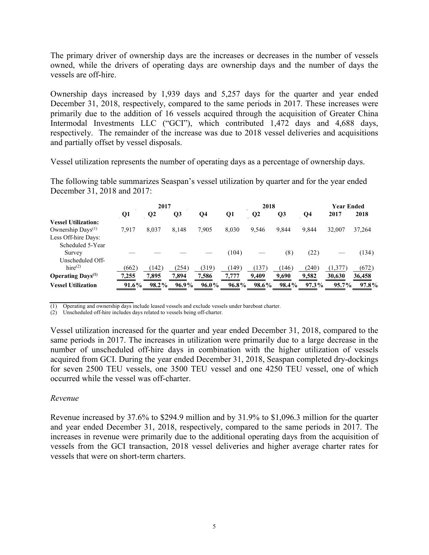The primary driver of ownership days are the increases or decreases in the number of vessels owned, while the drivers of operating days are ownership days and the number of days the vessels are off-hire.

Ownership days increased by 1,939 days and 5,257 days for the quarter and year ended December 31, 2018, respectively, compared to the same periods in 2017. These increases were primarily due to the addition of 16 vessels acquired through the acquisition of Greater China Intermodal Investments LLC ("GCI"), which contributed 1,472 days and 4,688 days, respectively. The remainder of the increase was due to 2018 vessel deliveries and acquisitions and partially offset by vessel disposals.

Vessel utilization represents the number of operating days as a percentage of ownership days.

The following table summarizes Seaspan's vessel utilization by quarter and for the year ended December 31, 2018 and 2017:

|                                      |       | 2017          |                |          |                | 2018           |                | <b>Year Ended</b> |          |        |
|--------------------------------------|-------|---------------|----------------|----------|----------------|----------------|----------------|-------------------|----------|--------|
|                                      | Q1    | $\mathbf{Q2}$ | Q <sub>3</sub> | Q4       | Q <sub>1</sub> | Q <sub>2</sub> | Q <sub>3</sub> | Q4                | 2017     | 2018   |
| <b>Vessel Utilization:</b>           |       |               |                |          |                |                |                |                   |          |        |
| Ownership $Days^{(1)}$               | 7,917 | 8.037         | 8,148          | 7,905    | 8,030          | 9,546          | 9,844          | 9.844             | 32,007   | 37,264 |
| Less Off-hire Days:                  |       |               |                |          |                |                |                |                   |          |        |
| Scheduled 5-Year                     |       |               |                |          |                |                |                |                   |          |        |
| Survey                               |       |               |                |          | (104)          |                | (8)            | (22)              |          | (134)  |
| Unscheduled Off-                     |       |               |                |          |                |                |                |                   |          |        |
| hire <sup>(2)</sup>                  | (662) | (142)         | (254)          | (319)    | (149)          | (137)          | (146)          | (240)             | (1,377)  | (672)  |
| <b>Operating Days</b> <sup>(1)</sup> | 7,255 | 7,895         | 7,894          | 7,586    | 7,777          | 9,409          | 9,690          | 9,582             | 30,630   | 36,458 |
| <b>Vessel Utilization</b>            | 91.6% | $98.2\%$      | $96.9\%$       | $96.0\%$ | 96.8%          | $98.6\%$       | 98.4%          | $97.3\%$          | $95.7\%$ | 97.8%  |

(1) Operating and ownership days include leased vessels and exclude vessels under bareboat charter.

(2) Unscheduled off-hire includes days related to vessels being off-charter.

Vessel utilization increased for the quarter and year ended December 31, 2018, compared to the same periods in 2017. The increases in utilization were primarily due to a large decrease in the number of unscheduled off-hire days in combination with the higher utilization of vessels acquired from GCI. During the year ended December 31, 2018, Seaspan completed dry-dockings for seven 2500 TEU vessels, one 3500 TEU vessel and one 4250 TEU vessel, one of which occurred while the vessel was off-charter.

# *Revenue*

Revenue increased by 37.6% to \$294.9 million and by 31.9% to \$1,096.3 million for the quarter and year ended December 31, 2018, respectively, compared to the same periods in 2017. The increases in revenue were primarily due to the additional operating days from the acquisition of vessels from the GCI transaction, 2018 vessel deliveries and higher average charter rates for vessels that were on short-term charters.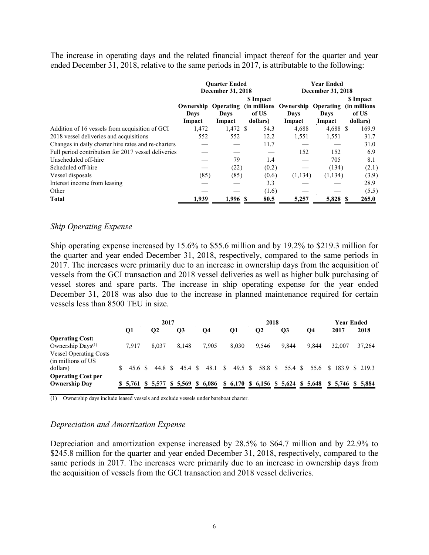The increase in operating days and the related financial impact thereof for the quarter and year ended December 31, 2018, relative to the same periods in 2017, is attributable to the following:

|                                                     |                                                           | <b>Ouarter Ended</b><br>December 31, 2018 |                                | <b>Year Ended</b><br>December 31, 2018 |                |                                                                  |  |  |  |
|-----------------------------------------------------|-----------------------------------------------------------|-------------------------------------------|--------------------------------|----------------------------------------|----------------|------------------------------------------------------------------|--|--|--|
|                                                     | <b>Ownership Operating (in millions</b><br>Days<br>Impact | Days<br>Impact                            | \$ Impact<br>of US<br>dollars) | Ownership<br>Days<br>Impact            | Days<br>Impact | \$ Impact<br><b>Operating</b> (in millions)<br>of US<br>dollars) |  |  |  |
| Addition of 16 vessels from acquisition of GCI      | 1,472                                                     | 1,472 \$                                  | 54.3                           | 4,688                                  | 4,688 \$       | 169.9                                                            |  |  |  |
| 2018 vessel deliveries and acquisitions             | 552                                                       | 552                                       | 12.2                           | 1,551                                  | 1,551          | 31.7                                                             |  |  |  |
| Changes in daily charter hire rates and re-charters |                                                           |                                           | 11.7                           |                                        |                | 31.0                                                             |  |  |  |
| Full period contribution for 2017 vessel deliveries |                                                           |                                           |                                | 152                                    | 152            | 6.9                                                              |  |  |  |
| Unscheduled off-hire                                |                                                           | 79                                        | 1.4                            |                                        | 705            | 8.1                                                              |  |  |  |
| Scheduled off-hire                                  |                                                           | (22)                                      | (0.2)                          |                                        | (134)          | (2.1)                                                            |  |  |  |
| Vessel disposals                                    | (85)                                                      | (85)                                      | (0.6)                          | (1, 134)                               | (1, 134)       | (3.9)                                                            |  |  |  |
| Interest income from leasing                        |                                                           |                                           | 3.3                            |                                        |                | 28.9                                                             |  |  |  |
| Other                                               |                                                           |                                           | (1.6)                          |                                        |                | (5.5)                                                            |  |  |  |
| <b>Total</b>                                        | 1,939                                                     | 1,996 \$                                  | 80.5                           | 5,257                                  | 5,828          | 265.0                                                            |  |  |  |

#### *Ship Operating Expense*

Ship operating expense increased by 15.6% to \$55.6 million and by 19.2% to \$219.3 million for the quarter and year ended December 31, 2018, respectively, compared to the same periods in 2017. The increases were primarily due to an increase in ownership days from the acquisition of vessels from the GCI transaction and 2018 vessel deliveries as well as higher bulk purchasing of vessel stores and spare parts. The increase in ship operating expense for the year ended December 31, 2018 was also due to the increase in planned maintenance required for certain vessels less than 8500 TEU in size.

|                                                                 | 2017 |         |  |         |         | 2018                                |              |         |  |                                     |  |           | <b>Year Ended</b> |           |        |  |                   |
|-----------------------------------------------------------------|------|---------|--|---------|---------|-------------------------------------|--------------|---------|--|-------------------------------------|--|-----------|-------------------|-----------|--------|--|-------------------|
|                                                                 |      | O1      |  | O2      | Q3      | <b>O4</b>                           |              | 01      |  | O2                                  |  | <b>O3</b> |                   | <b>O4</b> | 2017   |  | 2018              |
| <b>Operating Cost:</b><br>Ownership $Days^{(1)}$                |      | 7.917   |  | 8.037   | 8.148   | 7.905                               |              | 8.030   |  | 9.546                               |  | 9.844     |                   | 9.844     | 32,007 |  | 37,264            |
| <b>Vessel Operating Costs</b><br>(in millions of US<br>dollars) |      | 45.6 \$ |  | 44.8 \$ | 45.4 \$ | 48.1                                | <sup>S</sup> | 49.5 \$ |  | 58.8 \$                             |  | 55.4 \$   |                   | 55.6      |        |  | \$ 183.9 \$ 219.3 |
| <b>Operating Cost per</b><br><b>Ownership Day</b>               |      |         |  |         |         | $$5,761$ $$5,577$ $$5,569$ $$6,086$ |              |         |  | \$ 6,170 \$ 6,156 \$ 5,624 \$ 5,648 |  |           |                   |           |        |  | $$5,746$ $$5,884$ |

(1) Ownership days include leased vessels and exclude vessels under bareboat charter.

#### *Depreciation and Amortization Expense*

Depreciation and amortization expense increased by 28.5% to \$64.7 million and by 22.9% to \$245.8 million for the quarter and year ended December 31, 2018, respectively, compared to the same periods in 2017. The increases were primarily due to an increase in ownership days from the acquisition of vessels from the GCI transaction and 2018 vessel deliveries.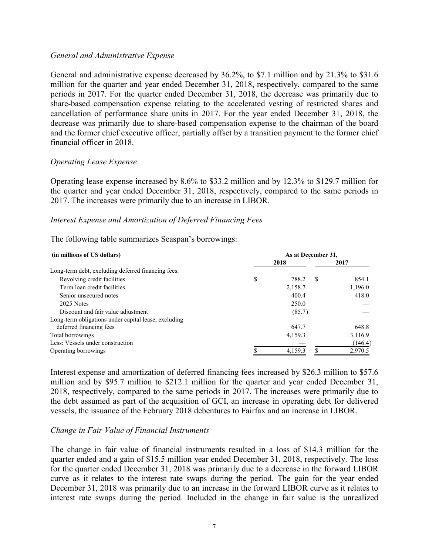#### *General and Administrative Expense*

General and administrative expense decreased by 36.2%, to \$7.1 million and by 21.3% to \$31.6 million for the quarter and year ended December 31, 2018, respectively, compared to the same periods in 2017. For the quarter ended December 31, 2018, the decrease was primarily due to share-based compensation expense relating to the accelerated vesting of restricted shares and cancellation of performance share units in 2017. For the year ended December 31, 2018, the decrease was primarily due to share-based compensation expense to the chairman of the board and the former chief executive officer, partially offset by a transition payment to the former chief financial officer in 2018.

# *Operating Lease Expense*

Operating lease expense increased by 8.6% to \$33.2 million and by 12.3% to \$129.7 million for the quarter and year ended December 31, 2018, respectively, compared to the same periods in 2017. The increases were primarily due to an increase in LIBOR.

# *Interest Expense and Amortization of Deferred Financing Fees*

The following table summarizes Seaspan's borrowings:

| (in millions of US dollars)                          | As at December 31, |         |      |         |  |  |  |  |  |
|------------------------------------------------------|--------------------|---------|------|---------|--|--|--|--|--|
|                                                      |                    |         | 2017 |         |  |  |  |  |  |
| Long-term debt, excluding deferred financing fees:   |                    |         |      |         |  |  |  |  |  |
| Revolving credit facilities                          | S                  | 788.2   | -S   | 854.1   |  |  |  |  |  |
| Term loan credit facilities                          |                    | 2,158.7 |      | 1,196.0 |  |  |  |  |  |
| Senior unsecured notes                               |                    | 400.4   |      | 418.0   |  |  |  |  |  |
| 2025 Notes                                           |                    | 250.0   |      |         |  |  |  |  |  |
| Discount and fair value adjustment                   |                    | (85.7)  |      |         |  |  |  |  |  |
| Long-term obligations under capital lease, excluding |                    |         |      |         |  |  |  |  |  |
| deferred financing fees                              |                    | 647.7   |      | 648.8   |  |  |  |  |  |
| Total borrowings                                     |                    | 4,159.3 |      | 3,116.9 |  |  |  |  |  |
| Less: Vessels under construction                     |                    |         |      | (146.4) |  |  |  |  |  |
| Operating borrowings                                 |                    | 4,159.3 | \$   | 2,970.5 |  |  |  |  |  |

Interest expense and amortization of deferred financing fees increased by \$26.3 million to \$57.6 million and by \$95.7 million to \$212.1 million for the quarter and year ended December 31, 2018, respectively, compared to the same periods in 2017. The increases were primarily due to the debt assumed as part of the acquisition of GCI, an increase in operating debt for delivered vessels, the issuance of the February 2018 debentures to Fairfax and an increase in LIBOR.

# *Change in Fair Value of Financial Instruments*

The change in fair value of financial instruments resulted in a loss of \$14.3 million for the quarter ended and a gain of \$15.5 million year ended December 31, 2018, respectively. The loss for the quarter ended December 31, 2018 was primarily due to a decrease in the forward LIBOR curve as it relates to the interest rate swaps during the period. The gain for the year ended December 31, 2018 was primarily due to an increase in the forward LIBOR curve as it relates to interest rate swaps during the period. Included in the change in fair value is the unrealized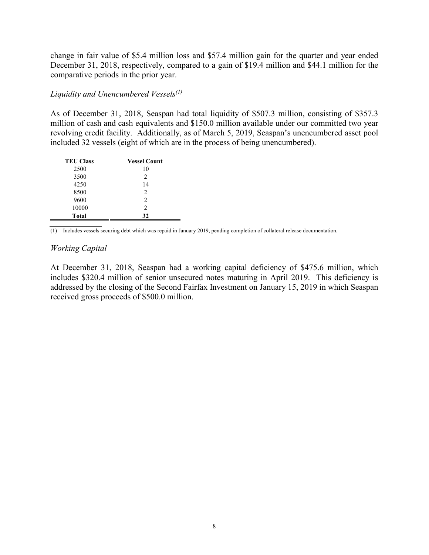change in fair value of \$5.4 million loss and \$57.4 million gain for the quarter and year ended December 31, 2018, respectively, compared to a gain of \$19.4 million and \$44.1 million for the comparative periods in the prior year.

# *Liquidity and Unencumbered Vessels(1)*

As of December 31, 2018, Seaspan had total liquidity of \$507.3 million, consisting of \$357.3 million of cash and cash equivalents and \$150.0 million available under our committed two year revolving credit facility. Additionally, as of March 5, 2019, Seaspan's unencumbered asset pool included 32 vessels (eight of which are in the process of being unencumbered).

| <b>TEU Class</b> | <b>Vessel Count</b>  |
|------------------|----------------------|
| 2500             | 10                   |
| 3500             | $\overline{2}$       |
| 4250             | 14                   |
| 8500             | $\overline{2}$       |
| 9600             | $\mathcal{L}$        |
| 10000            | $\mathfrak{D}$<br>ł. |
| <b>Total</b>     | 32                   |

(1) Includes vessels securing debt which was repaid in January 2019, pending completion of collateral release documentation.

# *Working Capital*

At December 31, 2018, Seaspan had a working capital deficiency of \$475.6 million, which includes \$320.4 million of senior unsecured notes maturing in April 2019. This deficiency is addressed by the closing of the Second Fairfax Investment on January 15, 2019 in which Seaspan received gross proceeds of \$500.0 million.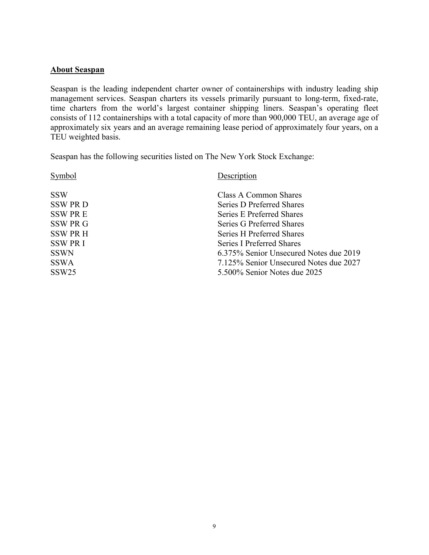# **About Seaspan**

Seaspan is the leading independent charter owner of containerships with industry leading ship management services. Seaspan charters its vessels primarily pursuant to long-term, fixed-rate, time charters from the world's largest container shipping liners. Seaspan's operating fleet consists of 112 containerships with a total capacity of more than 900,000 TEU, an average age of approximately six years and an average remaining lease period of approximately four years, on a TEU weighted basis.

Seaspan has the following securities listed on The New York Stock Exchange:

| Symbol            | Description                            |
|-------------------|----------------------------------------|
| <b>SSW</b>        | Class A Common Shares                  |
| <b>SSWPRD</b>     | Series D Preferred Shares              |
| <b>SSWPRE</b>     | Series E Preferred Shares              |
| SSW PR G          | Series G Preferred Shares              |
| <b>SSW PR H</b>   | Series H Preferred Shares              |
| <b>SSWPRI</b>     | <b>Series I Preferred Shares</b>       |
| <b>SSWN</b>       | 6.375% Senior Unsecured Notes due 2019 |
| <b>SSWA</b>       | 7.125% Senior Unsecured Notes due 2027 |
| SSW <sub>25</sub> | 5.500% Senior Notes due 2025           |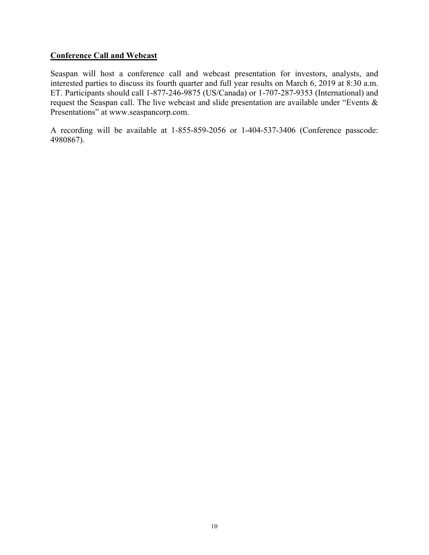# **Conference Call and Webcast**

Seaspan will host a conference call and webcast presentation for investors, analysts, and interested parties to discuss its fourth quarter and full year results on March 6, 2019 at 8:30 a.m. ET. Participants should call 1-877-246-9875 (US/Canada) or 1-707-287-9353 (International) and request the Seaspan call. The live webcast and slide presentation are available under "Events & Presentations" at www.seaspancorp.com.

A recording will be available at 1-855-859-2056 or 1-404-537-3406 (Conference passcode: 4980867).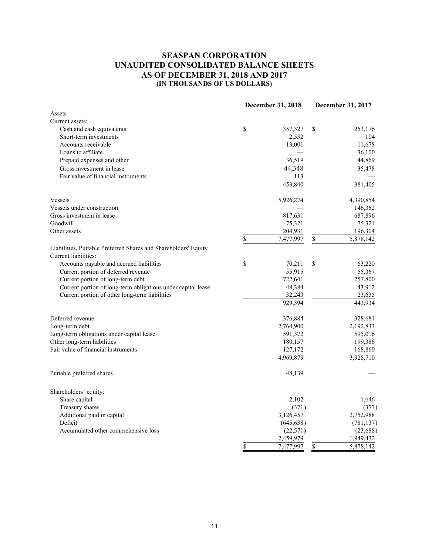# **SEASPAN CORPORATION UNAUDITED CONSOLIDATED BALANCE SHEETS AS OF DECEMBER 31, 2018 AND 2017 (IN THOUSANDS OF US DOLLARS)**

|                                                                                         | December 31, 2018 | December 31, 2017 |
|-----------------------------------------------------------------------------------------|-------------------|-------------------|
| Assets                                                                                  |                   |                   |
| Current assets:                                                                         |                   |                   |
| Cash and cash equivalents                                                               | \$<br>357,327     | \$<br>253,176     |
| Short-term investments                                                                  | 2,532             | 104               |
| Accounts receivable                                                                     | 13,001            | 11,678            |
| Loans to affiliate                                                                      |                   | 36,100            |
| Prepaid expenses and other                                                              | 36,519            | 44,869            |
| Gross investment in lease                                                               | 44,348            | 35,478            |
| Fair value of financial instruments                                                     | 113               |                   |
|                                                                                         | 453,840           | 381,405           |
| Vessels                                                                                 | 5,926,274         | 4,390,854         |
| Vessels under construction                                                              |                   | 146,362           |
| Gross investment in lease                                                               | 817,631           | 687,896           |
| Goodwill                                                                                | 75,321            | 75,321            |
| Other assets                                                                            | 204,931           | 196,304           |
|                                                                                         | \$<br>7,477,997   | 5,878,142<br>\$   |
| Liabilities, Puttable Preferred Shares and Shareholders' Equity<br>Current liabilities: |                   |                   |
| Accounts payable and accrued liabilities                                                | \$<br>70,211      | \$<br>63,220      |
| Current portion of deferred revenue                                                     | 55,915            | 55,367            |
| Current portion of long-term debt                                                       | 722,641           | 257,800           |
| Current portion of long-term obligations under capital lease                            | 48,384            | 43,912            |
| Current portion of other long-term liabilities                                          | 32,243            | 23,635            |
|                                                                                         | 929,394           | 443,934           |
| Deferred revenue                                                                        | 376,884           | 328,681           |
| Long-term debt                                                                          | 2,764,900         | 2,192,833         |
| Long-term obligations under capital lease                                               | 591,372           | 595,016           |
| Other long-term liabilities                                                             | 180,157           | 199,386           |
| Fair value of financial instruments                                                     | 127,172           | 168,860           |
|                                                                                         | 4,969,879         | 3,928,710         |
| Puttable preferred shares                                                               | 48,139            |                   |
| Shareholders' equity:                                                                   |                   |                   |
| Share capital                                                                           | 2,102             | 1,646             |
| Treasury shares                                                                         | (371)             | (377)             |
| Additional paid in capital                                                              | 3,126,457         | 2,752,988         |
| Deficit                                                                                 | (645, 638)        | (781, 137)        |
| Accumulated other comprehensive loss                                                    | (22, 571)         | (23, 688)         |
|                                                                                         | 2,459,979         | 1,949,432         |
|                                                                                         | \$<br>7,477,997   | 5,878,142<br>\$   |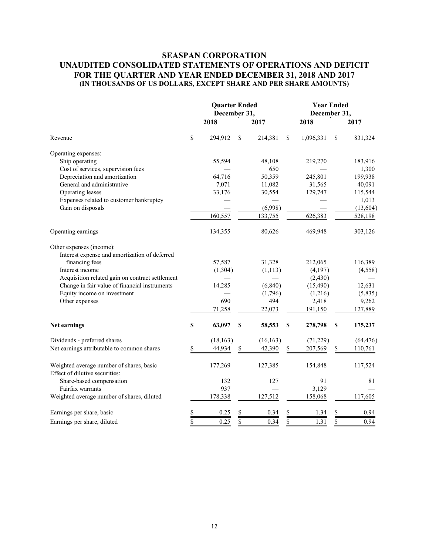# **SEASPAN CORPORATION UNAUDITED CONSOLIDATED STATEMENTS OF OPERATIONS AND DEFICIT FOR THE QUARTER AND YEAR ENDED DECEMBER 31, 2018 AND 2017 (IN THOUSANDS OF US DOLLARS, EXCEPT SHARE AND PER SHARE AMOUNTS)**

|                                                                            | <b>Quarter Ended</b><br>December 31, |               | <b>Year Ended</b><br>December 31, |              |           |
|----------------------------------------------------------------------------|--------------------------------------|---------------|-----------------------------------|--------------|-----------|
|                                                                            | 2018                                 | 2017          | 2018                              |              | 2017      |
| Revenue                                                                    | \$<br>294,912                        | \$<br>214,381 | \$<br>1,096,331                   | \$           | 831,324   |
| Operating expenses:                                                        |                                      |               |                                   |              |           |
| Ship operating                                                             | 55,594                               | 48,108        | 219,270                           |              | 183,916   |
| Cost of services, supervision fees                                         |                                      | 650           |                                   |              | 1,300     |
| Depreciation and amortization                                              | 64,716                               | 50,359        | 245,801                           |              | 199,938   |
| General and administrative                                                 | 7,071                                | 11,082        | 31,565                            |              | 40,091    |
| Operating leases                                                           | 33,176                               | 30,554        | 129,747                           |              | 115,544   |
| Expenses related to customer bankruptcy                                    |                                      |               |                                   |              | 1,013     |
| Gain on disposals                                                          |                                      | (6,998)       |                                   |              | (13, 604) |
|                                                                            | 160,557                              | 133,755       | 626,383                           |              | 528,198   |
| Operating earnings                                                         | 134,355                              | 80,626        | 469,948                           |              | 303,126   |
| Other expenses (income):                                                   |                                      |               |                                   |              |           |
| Interest expense and amortization of deferred                              |                                      |               |                                   |              |           |
| financing fees                                                             | 57,587                               | 31,328        | 212,065                           |              | 116,389   |
| Interest income                                                            | (1, 304)                             | (1, 113)      | (4,197)                           |              | (4,558)   |
| Acquisition related gain on contract settlement                            |                                      |               | (2, 430)                          |              |           |
| Change in fair value of financial instruments                              | 14,285                               | (6,840)       | (15,490)                          |              | 12,631    |
| Equity income on investment                                                |                                      | (1,796)       | (1,216)                           |              | (5,835)   |
| Other expenses                                                             | 690                                  | 494           | 2,418                             |              | 9,262     |
|                                                                            | 71,258                               | 22,073        | 191,150                           |              | 127,889   |
| Net earnings                                                               | \$<br>63,097                         | \$<br>58,553  | \$<br>278,798                     | \$           | 175,237   |
| Dividends - preferred shares                                               | (18, 163)                            | (16, 163)     | (71, 229)                         |              | (64, 476) |
| Net earnings attributable to common shares                                 | \$<br>44,934                         | \$<br>42,390  | \$<br>207,569                     | $\mathbb{S}$ | 110,761   |
| Weighted average number of shares, basic<br>Effect of dilutive securities: | 177,269                              | 127,385       | 154,848                           |              | 117,524   |
| Share-based compensation                                                   | 132                                  | 127           | 91                                |              | 81        |
| Fairfax warrants                                                           | 937                                  |               | 3,129                             |              |           |
| Weighted average number of shares, diluted                                 | 178,338                              | 127,512       | 158,068                           |              | 117,605   |
| Earnings per share, basic                                                  | \$<br>0.25                           | \$<br>0.34    | \$<br>1.34                        | \$           | 0.94      |
| Earnings per share, diluted                                                | \$<br>0.25                           | \$<br>0.34    | \$<br>1.31                        | \$           | 0.94      |
|                                                                            |                                      |               |                                   |              |           |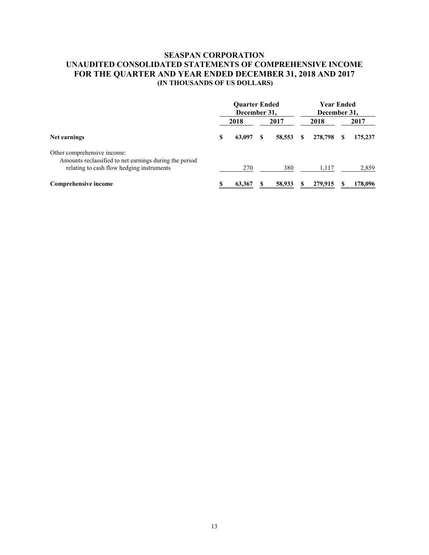# **SEASPAN CORPORATION UNAUDITED CONSOLIDATED STATEMENTS OF COMPREHENSIVE INCOME FOR THE QUARTER AND YEAR ENDED DECEMBER 31, 2018 AND 2017 (IN THOUSANDS OF US DOLLARS)**

|                                                                                       |  | <b>Ouarter Ended</b><br>December 31, |     |        | <b>Year Ended</b><br>December 31, |         |   |         |  |  |
|---------------------------------------------------------------------------------------|--|--------------------------------------|-----|--------|-----------------------------------|---------|---|---------|--|--|
|                                                                                       |  | 2018                                 |     | 2017   |                                   | 2018    |   | 2017    |  |  |
| <b>Net earnings</b>                                                                   |  | 63,097                               | \$. | 58,553 | S                                 | 278,798 | S | 175,237 |  |  |
| Other comprehensive income:<br>Amounts reclassified to net earnings during the period |  |                                      |     |        |                                   |         |   |         |  |  |
| relating to cash flow hedging instruments                                             |  | 270                                  |     | 380    |                                   | 1,117   |   | 2,859   |  |  |
| Comprehensive income                                                                  |  | 63.367                               |     | 58,933 | S                                 | 279,915 |   | 178.096 |  |  |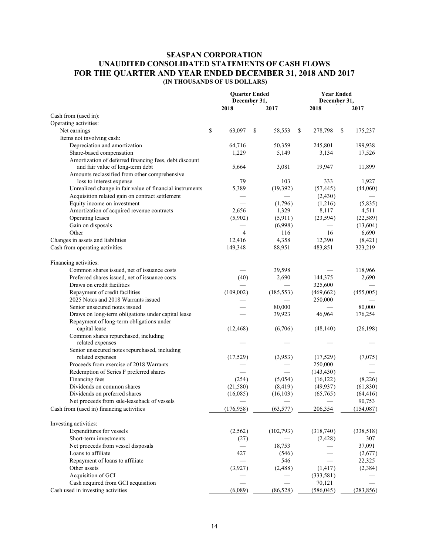#### **SEASPAN CORPORATION UNAUDITED CONSOLIDATED STATEMENTS OF CASH FLOWS FOR THE QUARTER AND YEAR ENDED DECEMBER 31, 2018 AND 2017 (IN THOUSANDS OF US DOLLARS)**

|                                                          | <b>Quarter Ended</b><br>December 31, |              | <b>Year Ended</b><br>December 31, |    |            |  |  |
|----------------------------------------------------------|--------------------------------------|--------------|-----------------------------------|----|------------|--|--|
|                                                          | 2018                                 | 2017         | 2018                              |    | 2017       |  |  |
| Cash from (used in):                                     |                                      |              |                                   |    |            |  |  |
| Operating activities:                                    |                                      |              |                                   |    |            |  |  |
| Net earnings                                             | \$<br>63,097                         | \$<br>58,553 | \$<br>278,798                     | \$ | 175,237    |  |  |
| Items not involving cash:                                |                                      |              |                                   |    |            |  |  |
| Depreciation and amortization                            | 64,716                               | 50,359       | 245,801                           |    | 199,938    |  |  |
| Share-based compensation                                 | 1,229                                | 5,149        | 3,134                             |    | 17,526     |  |  |
| Amortization of deferred financing fees, debt discount   |                                      |              |                                   |    |            |  |  |
| and fair value of long-term debt                         | 5,664                                | 3,081        | 19,947                            |    | 11,899     |  |  |
| Amounts reclassified from other comprehensive            |                                      |              |                                   |    |            |  |  |
| loss to interest expense                                 | 79                                   | 103          | 333                               |    | 1,927      |  |  |
| Unrealized change in fair value of financial instruments | 5,389                                | (19,392)     | (57, 445)                         |    | (44,060)   |  |  |
| Acquisition related gain on contract settlement          |                                      |              | (2,430)                           |    |            |  |  |
| Equity income on investment                              |                                      | (1,796)      | (1,216)                           |    | (5,835)    |  |  |
| Amortization of acquired revenue contracts               | 2,656                                | 1,329        | 8,117                             |    | 4,511      |  |  |
| Operating leases                                         | (5,902)                              | (5,911)      | (23, 594)                         |    | (22, 589)  |  |  |
| Gain on disposals                                        |                                      | (6,998)      |                                   |    | (13,604)   |  |  |
| Other                                                    | $\overline{4}$                       | 116          | 16                                |    | 6,690      |  |  |
|                                                          |                                      |              |                                   |    |            |  |  |
| Changes in assets and liabilities                        | 12,416                               | 4,358        | 12,390                            |    | (8,421)    |  |  |
| Cash from operating activities                           | 149,348                              | 88,951       | 483,851                           |    | 323,219    |  |  |
| Financing activities:                                    |                                      |              |                                   |    |            |  |  |
| Common shares issued, net of issuance costs              |                                      | 39,598       |                                   |    | 118,966    |  |  |
| Preferred shares issued, net of issuance costs           | (40)                                 | 2,690        | 144,375                           |    | 2,690      |  |  |
| Draws on credit facilities                               |                                      |              | 325,600                           |    |            |  |  |
| Repayment of credit facilities                           | (109,002)                            | (185, 553)   | (469, 662)                        |    | (455,005)  |  |  |
| 2025 Notes and 2018 Warrants issued                      |                                      |              | 250,000                           |    |            |  |  |
|                                                          |                                      |              |                                   |    |            |  |  |
| Senior unsecured notes issued                            |                                      | 80,000       |                                   |    | 80,000     |  |  |
| Draws on long-term obligations under capital lease       |                                      | 39,923       | 46,964                            |    | 176,254    |  |  |
| Repayment of long-term obligations under                 |                                      |              |                                   |    |            |  |  |
| capital lease                                            | (12, 468)                            | (6,706)      | (48, 140)                         |    | (26, 198)  |  |  |
| Common shares repurchased, including<br>related expenses |                                      |              |                                   |    |            |  |  |
| Senior unsecured notes repurchased, including            |                                      |              |                                   |    |            |  |  |
| related expenses                                         | (17,529)                             | (3,953)      | (17,529)                          |    | (7,075)    |  |  |
| Proceeds from exercise of 2018 Warrants                  |                                      |              | 250,000                           |    |            |  |  |
| Redemption of Series F preferred shares                  |                                      |              | (143, 430)                        |    |            |  |  |
| Financing fees                                           | (254)                                | (5,054)      | (16, 122)                         |    | (8,226)    |  |  |
| Dividends on common shares                               | (21,580)                             | (8, 419)     | (49, 937)                         |    | (61, 830)  |  |  |
|                                                          |                                      |              |                                   |    |            |  |  |
| Dividends on preferred shares                            | (16,085)                             | (16, 103)    | (65,765)                          |    | (64, 416)  |  |  |
| Net proceeds from sale-leaseback of vessels              |                                      |              |                                   |    | 90,753     |  |  |
| Cash from (used in) financing activities                 | (176,958)                            | (63, 577)    | 206,354                           |    | (154, 087) |  |  |
| Investing activities:                                    |                                      |              |                                   |    |            |  |  |
| Expenditures for vessels                                 | (2, 562)                             | (102,793)    | (318,740)                         |    | (338,518)  |  |  |
| Short-term investments                                   | (27)                                 |              | (2, 428)                          |    | 307        |  |  |
| Net proceeds from vessel disposals                       |                                      | 18,753       |                                   |    | 37,091     |  |  |
| Loans to affiliate                                       | 427                                  | (546)        |                                   |    | (2,677)    |  |  |
| Repayment of loans to affiliate                          |                                      | 546          |                                   |    | 22,325     |  |  |
| Other assets                                             | (3,927)                              | (2, 488)     | (1, 417)                          |    | (2, 384)   |  |  |
| Acquisition of GCI                                       |                                      |              | (333, 581)                        |    |            |  |  |
| Cash acquired from GCI acquisition                       |                                      |              | 70,121                            |    |            |  |  |
| Cash used in investing activities                        | (6,089)                              | (86, 528)    |                                   |    | (283, 856) |  |  |
|                                                          |                                      |              | (586, 045)                        |    |            |  |  |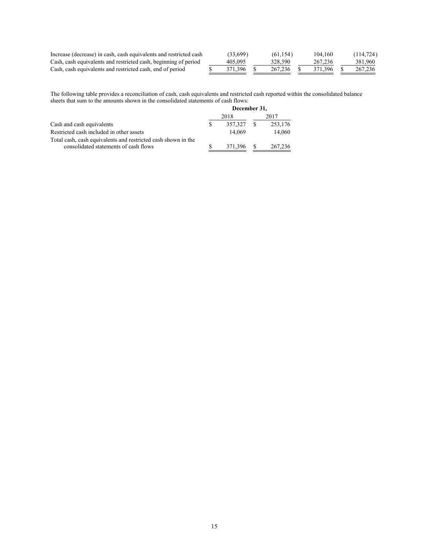| Increase (decrease) in cash, cash equivalents and restricted cash | (33,699) | (61, 154) | 104,160 | (114, 724) |
|-------------------------------------------------------------------|----------|-----------|---------|------------|
| Cash, cash equivalents and restricted cash, beginning of period   | 405,095  | 328,390   | 267,236 | 381.960    |
| Cash, cash equivalents and restricted cash, end of period         | 371.396  | 267,236   | 371.396 | 267,236    |

The following table provides a reconciliation of cash, cash equivalents and restricted cash reported within the consolidated balance sheets that sum to the amounts shown in the consolidated statements of cash flows:

|                                                               | December 31, |         |      |         |  |  |
|---------------------------------------------------------------|--------------|---------|------|---------|--|--|
|                                                               |              | 2018    | 2017 |         |  |  |
| Cash and cash equivalents                                     |              | 357,327 |      | 253,176 |  |  |
| Restricted cash included in other assets                      |              | 14,069  |      | 14,060  |  |  |
| Total cash, cash equivalents and restricted cash shown in the |              |         |      |         |  |  |
| consolidated statements of cash flows                         |              | 371,396 |      | 267,236 |  |  |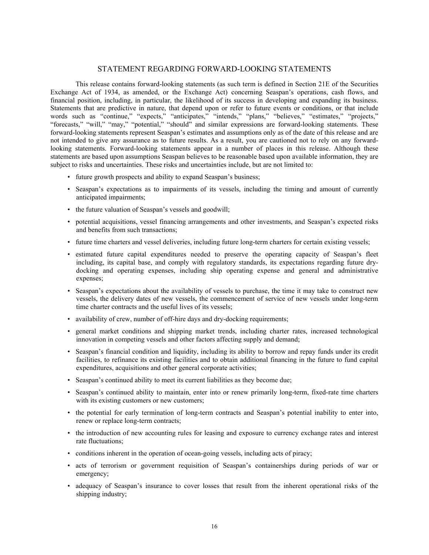#### STATEMENT REGARDING FORWARD-LOOKING STATEMENTS

This release contains forward-looking statements (as such term is defined in Section 21E of the Securities Exchange Act of 1934, as amended, or the Exchange Act) concerning Seaspan's operations, cash flows, and financial position, including, in particular, the likelihood of its success in developing and expanding its business. Statements that are predictive in nature, that depend upon or refer to future events or conditions, or that include words such as "continue," "expects," "anticipates," "intends," "plans," "believes," "estimates," "projects," "forecasts," "will," "may," "potential," "should" and similar expressions are forward-looking statements. These forward-looking statements represent Seaspan's estimates and assumptions only as of the date of this release and are not intended to give any assurance as to future results. As a result, you are cautioned not to rely on any forwardlooking statements. Forward-looking statements appear in a number of places in this release. Although these statements are based upon assumptions Seaspan believes to be reasonable based upon available information, they are subject to risks and uncertainties. These risks and uncertainties include, but are not limited to:

- future growth prospects and ability to expand Seaspan's business;
- Seaspan's expectations as to impairments of its vessels, including the timing and amount of currently anticipated impairments;
- the future valuation of Seaspan's vessels and goodwill;
- potential acquisitions, vessel financing arrangements and other investments, and Seaspan's expected risks and benefits from such transactions;
- future time charters and vessel deliveries, including future long-term charters for certain existing vessels;
- estimated future capital expenditures needed to preserve the operating capacity of Seaspan's fleet including, its capital base, and comply with regulatory standards, its expectations regarding future drydocking and operating expenses, including ship operating expense and general and administrative expenses;
- Seaspan's expectations about the availability of vessels to purchase, the time it may take to construct new vessels, the delivery dates of new vessels, the commencement of service of new vessels under long-term time charter contracts and the useful lives of its vessels;
- availability of crew, number of off-hire days and dry-docking requirements;
- general market conditions and shipping market trends, including charter rates, increased technological innovation in competing vessels and other factors affecting supply and demand;
- Seaspan's financial condition and liquidity, including its ability to borrow and repay funds under its credit facilities, to refinance its existing facilities and to obtain additional financing in the future to fund capital expenditures, acquisitions and other general corporate activities;
- Seaspan's continued ability to meet its current liabilities as they become due;
- Seaspan's continued ability to maintain, enter into or renew primarily long-term, fixed-rate time charters with its existing customers or new customers;
- the potential for early termination of long-term contracts and Seaspan's potential inability to enter into, renew or replace long-term contracts;
- the introduction of new accounting rules for leasing and exposure to currency exchange rates and interest rate fluctuations;
- conditions inherent in the operation of ocean-going vessels, including acts of piracy;
- acts of terrorism or government requisition of Seaspan's containerships during periods of war or emergency;
- adequacy of Seaspan's insurance to cover losses that result from the inherent operational risks of the shipping industry;